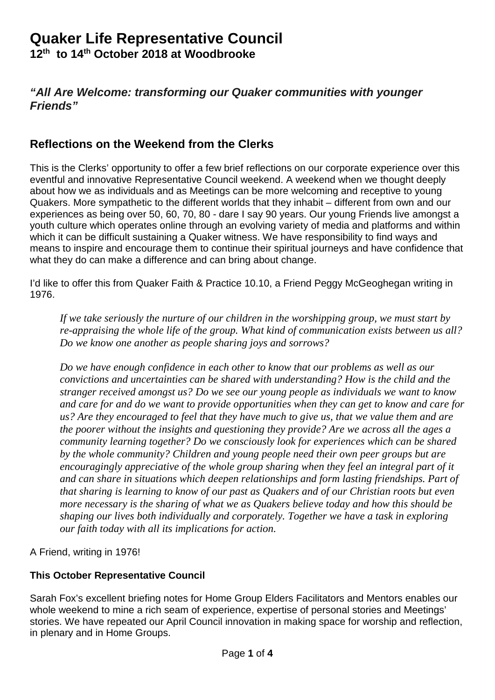# **Quaker Life Representative Council**

**12th to 14th October 2018 at Woodbrooke**

# *"All Are Welcome: transforming our Quaker communities with younger Friends"*

# **Reflections on the Weekend from the Clerks**

This is the Clerks' opportunity to offer a few brief reflections on our corporate experience over this eventful and innovative Representative Council weekend. A weekend when we thought deeply about how we as individuals and as Meetings can be more welcoming and receptive to young Quakers. More sympathetic to the different worlds that they inhabit – different from own and our experiences as being over 50, 60, 70, 80 - dare I say 90 years. Our young Friends live amongst a youth culture which operates online through an evolving variety of media and platforms and within which it can be difficult sustaining a Quaker witness. We have responsibility to find ways and means to inspire and encourage them to continue their spiritual journeys and have confidence that what they do can make a difference and can bring about change.

I'd like to offer this from Quaker Faith & Practice 10.10, a Friend Peggy McGeoghegan writing in 1976.

*If we take seriously the nurture of our children in the worshipping group, we must start by re-appraising the whole life of the group. What kind of communication exists between us all? Do we know one another as people sharing joys and sorrows?*

*Do we have enough confidence in each other to know that our problems as well as our convictions and uncertainties can be shared with understanding? How is the child and the stranger received amongst us? Do we see our young people as individuals we want to know and care for and do we want to provide opportunities when they can get to know and care for us? Are they encouraged to feel that they have much to give us, that we value them and are the poorer without the insights and questioning they provide? Are we across all the ages a community learning together? Do we consciously look for experiences which can be shared by the whole community? Children and young people need their own peer groups but are encouragingly appreciative of the whole group sharing when they feel an integral part of it and can share in situations which deepen relationships and form lasting friendships. Part of that sharing is learning to know of our past as Quakers and of our Christian roots but even more necessary is the sharing of what we as Quakers believe today and how this should be shaping our lives both individually and corporately. Together we have a task in exploring our faith today with all its implications for action.*

A Friend, writing in 1976!

#### **This October Representative Council**

Sarah Fox's excellent briefing notes for Home Group Elders Facilitators and Mentors enables our whole weekend to mine a rich seam of experience, expertise of personal stories and Meetings' stories. We have repeated our April Council innovation in making space for worship and reflection, in plenary and in Home Groups.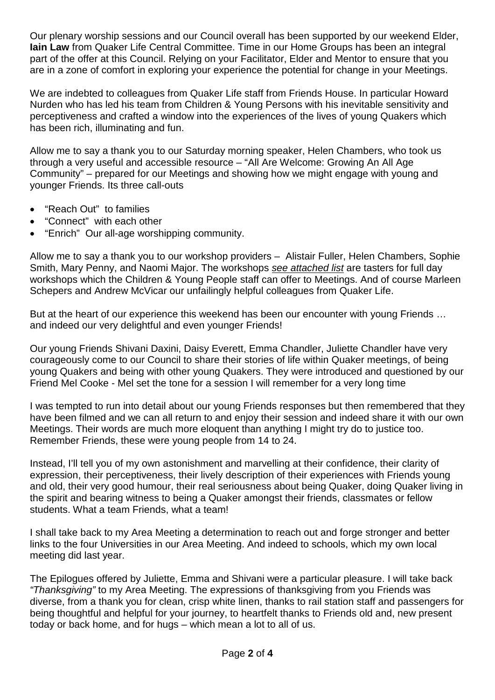Our plenary worship sessions and our Council overall has been supported by our weekend Elder, **Iain Law** from Quaker Life Central Committee. Time in our Home Groups has been an integral part of the offer at this Council. Relying on your Facilitator, Elder and Mentor to ensure that you are in a zone of comfort in exploring your experience the potential for change in your Meetings.

We are indebted to colleagues from Quaker Life staff from Friends House. In particular Howard Nurden who has led his team from Children & Young Persons with his inevitable sensitivity and perceptiveness and crafted a window into the experiences of the lives of young Quakers which has been rich, illuminating and fun.

Allow me to say a thank you to our Saturday morning speaker, Helen Chambers, who took us through a very useful and accessible resource – "All Are Welcome: Growing An All Age Community" – prepared for our Meetings and showing how we might engage with young and younger Friends. Its three call-outs

- "Reach Out" to families
- "Connect" with each other
- "Enrich" Our all-age worshipping community.

Allow me to say a thank you to our workshop providers – Alistair Fuller, Helen Chambers, Sophie Smith, Mary Penny, and Naomi Major. The workshops *see attached list* are tasters for full day workshops which the Children & Young People staff can offer to Meetings. And of course Marleen Schepers and Andrew McVicar our unfailingly helpful colleagues from Quaker Life.

But at the heart of our experience this weekend has been our encounter with young Friends ... and indeed our very delightful and even younger Friends!

Our young Friends Shivani Daxini, Daisy Everett, Emma Chandler, Juliette Chandler have very courageously come to our Council to share their stories of life within Quaker meetings, of being young Quakers and being with other young Quakers. They were introduced and questioned by our Friend Mel Cooke - Mel set the tone for a session I will remember for a very long time

I was tempted to run into detail about our young Friends responses but then remembered that they have been filmed and we can all return to and enjoy their session and indeed share it with our own Meetings. Their words are much more eloquent than anything I might try do to justice too. Remember Friends, these were young people from 14 to 24.

Instead, I'll tell you of my own astonishment and marvelling at their confidence, their clarity of expression, their perceptiveness, their lively description of their experiences with Friends young and old, their very good humour, their real seriousness about being Quaker, doing Quaker living in the spirit and bearing witness to being a Quaker amongst their friends, classmates or fellow students. What a team Friends, what a team!

I shall take back to my Area Meeting a determination to reach out and forge stronger and better links to the four Universities in our Area Meeting. And indeed to schools, which my own local meeting did last year.

The Epilogues offered by Juliette, Emma and Shivani were a particular pleasure. I will take back *"Thanksgiving"* to my Area Meeting. The expressions of thanksgiving from you Friends was diverse, from a thank you for clean, crisp white linen, thanks to rail station staff and passengers for being thoughtful and helpful for your journey, to heartfelt thanks to Friends old and, new present today or back home, and for hugs – which mean a lot to all of us.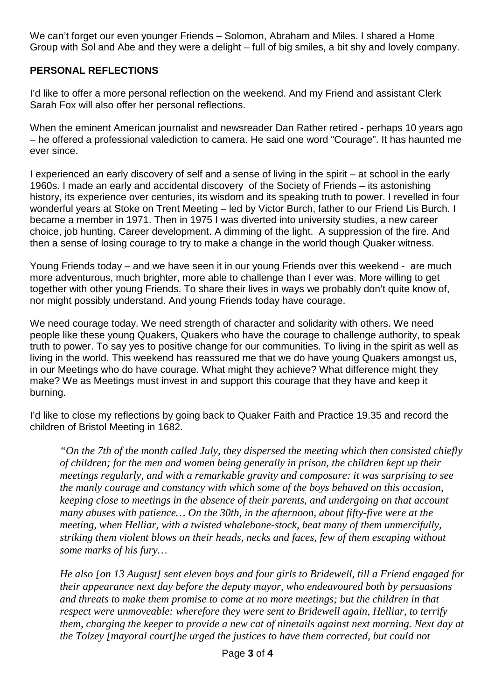We can't forget our even younger Friends – Solomon, Abraham and Miles. I shared a Home Group with Sol and Abe and they were a delight – full of big smiles, a bit shy and lovely company.

# **PERSONAL REFLECTIONS**

I'd like to offer a more personal reflection on the weekend. And my Friend and assistant Clerk Sarah Fox will also offer her personal reflections.

When the eminent American journalist and newsreader Dan Rather retired - perhaps 10 years ago – he offered a professional valediction to camera. He said one word "Courage". It has haunted me ever since.

I experienced an early discovery of self and a sense of living in the spirit – at school in the early 1960s. I made an early and accidental discovery of the Society of Friends – its astonishing history, its experience over centuries, its wisdom and its speaking truth to power. I revelled in four wonderful years at Stoke on Trent Meeting – led by Victor Burch, father to our Friend Lis Burch. I became a member in 1971. Then in 1975 I was diverted into university studies, a new career choice, job hunting. Career development. A dimming of the light. A suppression of the fire. And then a sense of losing courage to try to make a change in the world though Quaker witness.

Young Friends today – and we have seen it in our young Friends over this weekend - are much more adventurous, much brighter, more able to challenge than I ever was. More willing to get together with other young Friends. To share their lives in ways we probably don't quite know of, nor might possibly understand. And young Friends today have courage.

We need courage today. We need strength of character and solidarity with others. We need people like these young Quakers, Quakers who have the courage to challenge authority, to speak truth to power. To say yes to positive change for our communities. To living in the spirit as well as living in the world. This weekend has reassured me that we do have young Quakers amongst us, in our Meetings who do have courage. What might they achieve? What difference might they make? We as Meetings must invest in and support this courage that they have and keep it burning.

I'd like to close my reflections by going back to Quaker Faith and Practice 19.35 and record the children of Bristol Meeting in 1682.

*"On the 7th of the month called July, they dispersed the meeting which then consisted chiefly of children; for the men and women being generally in prison, the children kept up their meetings regularly, and with a remarkable gravity and composure: it was surprising to see the manly courage and constancy with which some of the boys behaved on this occasion, keeping close to meetings in the absence of their parents, and undergoing on that account many abuses with patience… On the 30th, in the afternoon, about fifty-five were at the meeting, when Helliar, with a twisted whalebone-stock, beat many of them unmercifully, striking them violent blows on their heads, necks and faces, few of them escaping without some marks of his fury…*

*He also [on 13 August] sent eleven boys and four girls to Bridewell, till a Friend engaged for their appearance next day before the deputy mayor, who endeavoured both by persuasions and threats to make them promise to come at no more meetings; but the children in that respect were unmoveable: wherefore they were sent to Bridewell again, Helliar, to terrify them, charging the keeper to provide a new cat of ninetails against next morning. Next day at the Tolzey [mayoral court]he urged the justices to have them corrected, but could not*